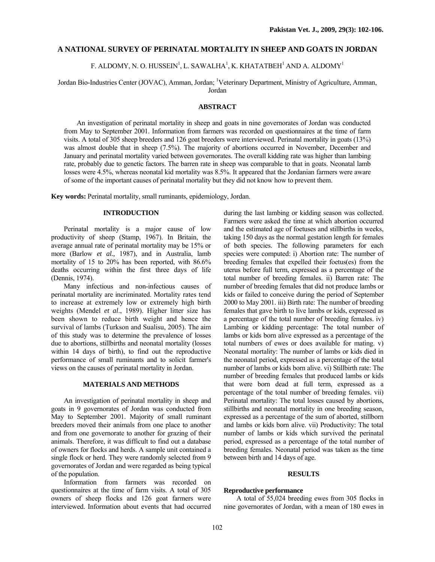## **A NATIONAL SURVEY OF PERINATAL MORTALITY IN SHEEP AND GOATS IN JORDAN**

F. ALDOMY, N. O. HUSSEIN $^{\rm l}$ , L. SAWALHA $^{\rm l}$ , K. KHATATBEH $^{\rm l}$  AND A. ALDOMY $^{\rm l}$ 

Jordan Bio-Industries Center (JOVAC), Amman, Jordan; <sup>1</sup>Veterinary Department, Ministry of Agriculture, Amman, Jordan

### **ABSTRACT**

An investigation of perinatal mortality in sheep and goats in nine governorates of Jordan was conducted from May to September 2001. Information from farmers was recorded on questionnaires at the time of farm visits. A total of 305 sheep breeders and 126 goat breeders were interviewed. Perinatal mortality in goats (13%) was almost double that in sheep (7.5%). The majority of abortions occurred in November, December and January and perinatal mortality varied between governorates. The overall kidding rate was higher than lambing rate, probably due to genetic factors. The barren rate in sheep was comparable to that in goats. Neonatal lamb losses were 4.5%, whereas neonatal kid mortality was 8.5%. It appeared that the Jordanian farmers were aware of some of the important causes of perinatal mortality but they did not know how to prevent them.

**Key words:** Perinatal mortality, small ruminants, epidemiology, Jordan.

### **INTRODUCTION**

Perinatal mortality is a major cause of low productivity of sheep (Stamp, 1967). In Britain, the average annual rate of perinatal mortality may be 15% or more (Barlow *et al.,* 1987), and in Australia, lamb mortality of 15 to 20% has been reported, with 86.6% deaths occurring within the first three days of life (Dennis, 1974).

Many infectious and non-infectious causes of perinatal mortality are incriminated. Mortality rates tend to increase at extremely low or extremely high birth weights (Mendel *et al*., 1989). Higher litter size has been shown to reduce birth weight and hence the survival of lambs (Turkson and Sualisu, 2005). The aim of this study was to determine the prevalence of losses due to abortions, stillbirths and neonatal mortality (losses within 14 days of birth), to find out the reproductive performance of small ruminants and to solicit farmer's views on the causes of perinatal mortality in Jordan.

## **MATERIALS AND METHODS**

An investigation of perinatal mortality in sheep and goats in 9 governorates of Jordan was conducted from May to September 2001. Majority of small ruminant breeders moved their animals from one place to another and from one governorate to another for grazing of their animals. Therefore, it was difficult to find out a database of owners for flocks and herds. A sample unit contained a single flock or herd. They were randomly selected from 9 governorates of Jordan and were regarded as being typical of the population.

Information from farmers was recorded on questionnaires at the time of farm visits. A total of 305 owners of sheep flocks and 126 goat farmers were interviewed. Information about events that had occurred

during the last lambing or kidding season was collected. Farmers were asked the time at which abortion occurred and the estimated age of foetuses and stillbirths in weeks, taking 150 days as the normal gestation length for females of both species. The following parameters for each species were computed: i) Abortion rate: The number of breeding females that expelled their foetus(es) from the uterus before full term, expressed as a percentage of the total number of breeding females. ii) Barren rate: The number of breeding females that did not produce lambs or kids or failed to conceive during the period of September 2000 to May 2001. iii) Birth rate: The number of breeding females that gave birth to live lambs or kids, expressed as a percentage of the total number of breeding females. iv) Lambing or kidding percentage: The total number of lambs or kids born alive expressed as a percentage of the total numbers of ewes or does available for mating. v) Neonatal mortality: The number of lambs or kids died in the neonatal period, expressed as a percentage of the total number of lambs or kids born alive. vi) Stillbirth rate: The number of breeding females that produced lambs or kids that were born dead at full term, expressed as a percentage of the total number of breeding females. vii) Perinatal mortality: The total losses caused by abortions, stillbirths and neonatal mortality in one breeding season, expressed as a percentage of the sum of aborted, stillborn and lambs or kids born alive. vii) Productivity: The total number of lambs or kids which survived the perinatal period, expressed as a percentage of the total number of breeding females. Neonatal period was taken as the time between birth and 14 days of age.

#### **RESULTS**

### **Reproductive performance**

A total of 55,024 breeding ewes from 305 flocks in nine governorates of Jordan, with a mean of 180 ewes in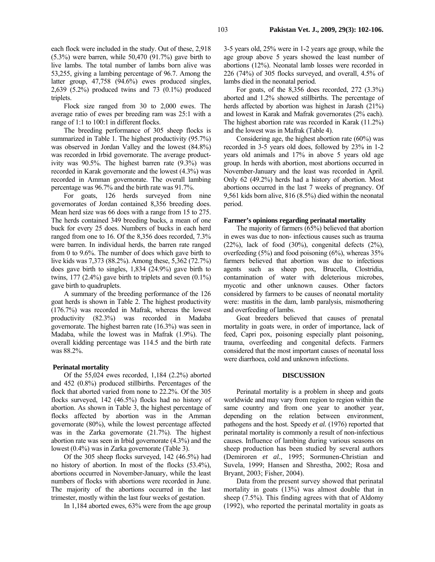each flock were included in the study. Out of these, 2,918 (5.3%) were barren, while 50,470 (91.7%) gave birth to live lambs. The total number of lambs born alive was 53,255, giving a lambing percentage of 96.7. Among the latter group, 47,758 (94.6%) ewes produced singles, 2,639 (5.2%) produced twins and 73 (0.1%) produced triplets.

Flock size ranged from 30 to 2,000 ewes. The average ratio of ewes per breeding ram was 25:1 with a range of 1:1 to 100:1 in different flocks.

The breeding performance of 305 sheep flocks is summarized in Table 1. The highest productivity (95.7%) was observed in Jordan Valley and the lowest (84.8%) was recorded in Irbid governorate. The average productivity was 90.5%. The highest barren rate (9.3%) was recorded in Karak governorate and the lowest (4.3%) was recorded in Amman governorate. The overall lambing percentage was 96.7% and the birth rate was 91.7%.

For goats, 126 herds surveyed from nine governorates of Jordan contained 8,356 breeding does. Mean herd size was 66 does with a range from 15 to 275. The herds contained 349 breeding bucks, a mean of one buck for every 25 does. Numbers of bucks in each herd ranged from one to 16. Of the 8,356 does recorded, 7.3% were barren. In individual herds, the barren rate ranged from 0 to 9.6%. The number of does which gave birth to live kids was 7,373 (88.2%). Among these, 5,362 (72.7%) does gave birth to singles, 1,834 (24.9%) gave birth to twins,  $177$  (2.4%) gave birth to triplets and seven  $(0.1\%)$ gave birth to quadruplets.

A summary of the breeding performance of the 126 goat herds is shown in Table 2. The highest productivity (176.7%) was recorded in Mafrak, whereas the lowest productivity (82.3%) was recorded in Madaba governorate. The highest barren rate (16.3%) was seen in Madaba, while the lowest was in Mafrak (1.9%). The overall kidding percentage was 114.5 and the birth rate was 88.2%.

### **Perinatal mortality**

Of the 55,024 ewes recorded, 1,184 (2.2%) aborted and 452 (0.8%) produced stillbirths. Percentages of the flock that aborted varied from none to 22.2%. Of the 305 flocks surveyed, 142 (46.5%) flocks had no history of abortion. As shown in Table 3, the highest percentage of flocks affected by abortion was in the Amman governorate (80%), while the lowest percentage affected was in the Zarka governorate (21.7%). The highest abortion rate was seen in Irbid governorate (4.3%) and the lowest (0.4%) was in Zarka governorate (Table 3).

Of the 305 sheep flocks surveyed, 142 (46.5%) had no history of abortion. In most of the flocks (53.4%), abortions occurred in November-January, while the least numbers of flocks with abortions were recorded in June. The majority of the abortions occurred in the last trimester, mostly within the last four weeks of gestation.

In 1,184 aborted ewes, 63% were from the age group

3-5 years old, 25% were in 1-2 years age group, while the age group above 5 years showed the least number of abortions (12%). Neonatal lamb losses were recorded in 226 (74%) of 305 flocks surveyed, and overall, 4.5% of lambs died in the neonatal period.

For goats, of the 8,356 does recorded, 272 (3.3%) aborted and 1.2% showed stillbirths. The percentage of herds affected by abortion was highest in Jarash (21%) and lowest in Karak and Mafrak governorates (2% each). The highest abortion rate was recorded in Karak (11.2%) and the lowest was in Mafrak (Table 4).

Considering age, the highest abortion rate (60%) was recorded in 3-5 years old does, followed by 23% in 1-2 years old animals and 17% in above 5 years old age group. In herds with abortion, most abortions occurred in November-January and the least was recorded in April. Only 62 (49.2%) herds had a history of abortion. Most abortions occurred in the last 7 weeks of pregnancy. Of 9,561 kids born alive, 816 (8.5%) died within the neonatal period.

#### **Farmer's opinions regarding perinatal mortality**

The majority of farmers (65%) believed that abortion in ewes was due to non- infectious causes such as trauma  $(22\%)$ , lack of food  $(30\%)$ , congenital defects  $(2\%)$ , overfeeding (5%) and food poisoning (6%), whereas 35% farmers believed that abortion was due to infectious agents such as sheep pox, Brucella, Clostridia, contamination of water with deleterious microbes, mycotic and other unknown causes. Other factors considered by farmers to be causes of neonatal mortality were: mastitis in the dam, lamb paralysis, mismothering and overfeeding of lambs.

Goat breeders believed that causes of prenatal mortality in goats were, in order of importance, lack of feed, Capri pox, poisoning especially plant poisoning, trauma, overfeeding and congenital defects. Farmers considered that the most important causes of neonatal loss were diarrhoea, cold and unknown infections.

#### **DISCUSSION**

Perinatal mortality is a problem in sheep and goats worldwide and may vary from region to region within the same country and from one year to another year, depending on the relation between environment, pathogens and the host. Speedy *et al.* (1976) reported that perinatal mortality is commonly a result of non-infectious causes. Influence of lambing during various seasons on sheep production has been studied by several authors (Demiroren *et al.*, 1995; Sormunen-Christian and Suvela, 1999; Hansen and Shrestha, 2002; Rosa and Bryant, 2003; Fisher, 2004).

Data from the present survey showed that perinatal mortality in goats (13%) was almost double that in sheep (7.5%). This finding agrees with that of Aldomy (1992), who reported the perinatal mortality in goats as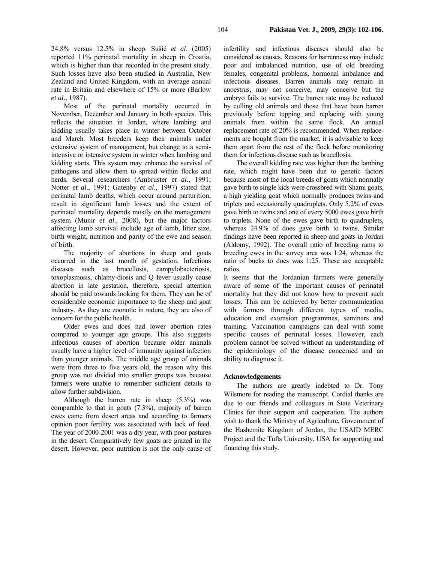Most of the perinatal mortality occurred in November, December and January in both species. This reflects the situation in Jordan, where lambing and kidding usually takes place in winter between October and March. Most breeders keep their animals under extensive system of management, but change to a semiintensive or intensive system in winter when lambing and kidding starts. This system may enhance the survival of pathogens and allow them to spread within flocks and herds. Several researchers (Ambruster *et al*., 1991; Notter *et al*., 1991; Gatenby *et al*., 1997) stated that perinatal lamb deaths, which occur around parturition, result in significant lamb losses and the extent of perinatal mortality depends mostly on the management system (Munir *et al*., 2008), but the major factors affecting lamb survival include age of lamb, litter size, birth weight, nutrition and parity of the ewe and season of birth.

The majority of abortions in sheep and goats occurred in the last month of gestation. Infectious diseases such as brucellosis, campylobacteriosis, toxoplasmosis, chlamy-diosis and Q fever usually cause abortion in late gestation, therefore, special attention should be paid towards looking for them. They can be of considerable economic importance to the sheep and goat industry. As they are zoonotic in nature, they are also of concern for the public health.

Older ewes and does had lower abortion rates compared to younger age groups. This also suggests infectious causes of abortion because older animals usually have a higher level of immunity against infection than younger animals. The middle age group of animals were from three to five years old, the reason why this group was not divided into smaller groups was because farmers were unable to remember sufficient details to allow further subdivision.

Although the barren rate in sheep (5.3%) was comparable to that in goats (7.3%), majority of barren ewes came from desert areas and according to farmers opinion poor fertility was associated with lack of feed. The year of 2000-2001 was a dry year, with poor pastures in the desert. Comparatively few goats are grazed in the desert. However, poor nutrition is not the only cause of infertility and infectious diseases should also be considered as causes. Reasons for barrenness may include poor and imbalanced nutrition, use of old breeding females, congenital problems, hormonal imbalance and infectious diseases. Barren animals may remain in anoestrus, may not conceive, may conceive but the embryo fails to survive. The barren rate may be reduced by culling old animals and those that have been barren previously before tupping and replacing with young animals from within the same flock. An annual replacement rate of 20% is recommended. When replacements are bought from the market, it is advisable to keep them apart from the rest of the flock before monitoring

The overall kidding rate was higher than the lambing rate, which might have been due to genetic factors because most of the local breeds of goats which normally gave birth to single kids were crossbred with Shami goats, a high yielding goat which normally produces twins and triplets and occasionally quadruplets. Only 5.2% of ewes gave birth to twins and one of every 5000 ewes gave birth to triplets. None of the ewes gave birth to quadruplets, whereas 24.9% of does gave birth to twins. Similar findings have been reported in sheep and goats in Jordan (Aldomy, 1992). The overall ratio of breeding rams to breeding ewes in the survey area was 1:24, whereas the ratio of bucks to does was 1:25. These are acceptable ratios.

them for infectious disease such as brucellosis.

It seems that the Jordanian farmers were generally aware of some of the important causes of perinatal mortality but they did not know how to prevent such losses. This can be achieved by better communication with farmers through different types of media, education and extension programmes, seminars and training. Vaccination campaigns can deal with some specific causes of perinatal losses. However, each problem cannot be solved without an understanding of the epidemiology of the disease concerned and an ability to diagnose it.

## **Acknowledgements**

The authors are greatly indebted to Dr. Tony Wilsmore for reading the manuscript. Cordial thanks are due to our friends and colleagues in State Veterinary Clinics for their support and cooperation. The authors wish to thank the Ministry of Agriculture, Government of the Hashemite Kingdom of Jordan, the USAID MERC Project and the Tufts University, USA for supporting and financing this study.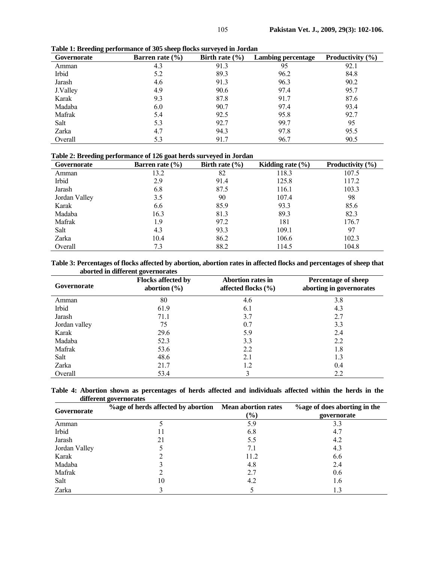| Governorate | Barren rate $(\% )$ | Birth rate $(\% )$ | <b>Lambing percentage</b> | Productivity (%) |
|-------------|---------------------|--------------------|---------------------------|------------------|
| Amman       | 4.3                 | 91.3               | 95                        | 92.1             |
| Irbid       | 5.2                 | 89.3               | 96.2                      | 84.8             |
| Jarash      | 4.6                 | 91.3               | 96.3                      | 90.2             |
| J.Valley    | 4.9                 | 90.6               | 97.4                      | 95.7             |
| Karak       | 9.3                 | 87.8               | 91.7                      | 87.6             |
| Madaba      | 6.0                 | 90.7               | 97.4                      | 93.4             |
| Mafrak      | 5.4                 | 92.5               | 95.8                      | 92.7             |
| Salt        | 5.3                 | 92.7               | 99.7                      | 95               |
| Zarka       | 4.7                 | 94.3               | 97.8                      | 95.5             |
| Overall     | 5.3                 | 91.7               | 96.7                      | 90.5             |

**Table 1: Breeding performance of 305 sheep flocks surveyed in Jordan**

# **Table 2: Breeding performance of 126 goat herds surveyed in Jordan**

| Governorate   | Barren rate $(\% )$ | Birth rate $(\% )$ | Kidding rate $(\% )$ | Productivity $(\% )$ |
|---------------|---------------------|--------------------|----------------------|----------------------|
| Amman         | 13.2                | 82                 | 118.3                | 107.5                |
| Irbid         | 2.9                 | 91.4               | 125.8                | 117.2                |
| Jarash        | 6.8                 | 87.5               | 116.1                | 103.3                |
| Jordan Valley | 3.5                 | 90                 | 107.4                | 98                   |
| Karak         | 6.6                 | 85.9               | 93.3                 | 85.6                 |
| Madaba        | 16.3                | 81.3               | 89.3                 | 82.3                 |
| Mafrak        | 1.9                 | 97.2               | 181                  | 176.7                |
| Salt          | 4.3                 | 93.3               | 109.1                | 97                   |
| Zarka         | 10.4                | 86.2               | 106.6                | 102.3                |
| Overall       | 7.3                 | 88.2               | 114.5                | 104.8                |

**Table 3: Percentages of flocks affected by abortion, abortion rates in affected flocks and percentages of sheep that aborted in different governorates** 

| Governorate   | <b>Flocks affected by</b><br>abortion $(\% )$ | <b>Abortion rates in</b><br>affected flocks $(\% )$ | <b>Percentage of sheep</b><br>aborting in governorates |
|---------------|-----------------------------------------------|-----------------------------------------------------|--------------------------------------------------------|
| Amman         | 80                                            | 4.6                                                 | 3.8                                                    |
| Irbid         | 61.9                                          | 6.1                                                 | 4.3                                                    |
| Jarash        | 71.1                                          | 3.7                                                 | 2.7                                                    |
| Jordan valley | 75                                            | 0.7                                                 | 3.3                                                    |
| Karak         | 29.6                                          | 5.9                                                 | 2.4                                                    |
| Madaba        | 52.3                                          | 3.3                                                 | 2.2                                                    |
| Mafrak        | 53.6                                          | 2.2                                                 | 1.8                                                    |
| Salt          | 48.6                                          | 2.1                                                 | 1.3                                                    |
| Zarka         | 21.7                                          | 1.2                                                 | 0.4                                                    |
| Overall       | 53.4                                          |                                                     | 2.2                                                    |

|  |                        |  | Table 4: Abortion shown as percentages of herds affected and individuals affected within the herds in the |  |  |  |  |  |  |
|--|------------------------|--|-----------------------------------------------------------------------------------------------------------|--|--|--|--|--|--|
|  | different governorates |  |                                                                                                           |  |  |  |  |  |  |

| Governorate   | %age of herds affected by abortion Mean abortion rates | $(\%)$ | <b>%age of does aborting in the</b><br>governorate |
|---------------|--------------------------------------------------------|--------|----------------------------------------------------|
| Amman         |                                                        | 5.9    | 3.3                                                |
| Irbid         |                                                        | 6.8    | 4.7                                                |
| Jarash        | 21                                                     | 5.5    | 4.2                                                |
| Jordan Valley |                                                        | 7.1    | 4.3                                                |
| Karak         |                                                        | 11.2   | 6.6                                                |
| Madaba        |                                                        | 4.8    | 2.4                                                |
| Mafrak        |                                                        | 2.7    | 0.6                                                |
| Salt          | 10                                                     | 4.2    | 1.6                                                |
| Zarka         |                                                        |        | 1.3                                                |